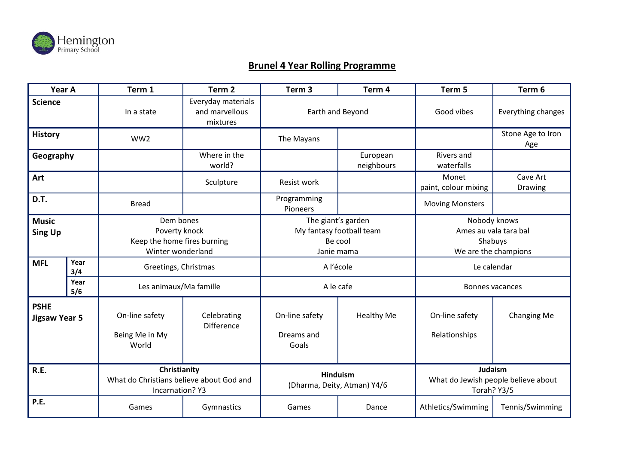

## **Brunel 4 Year Rolling Programme**

| Year A                              |             | Term 1                                                                             | Term <sub>2</sub>                                | Term <sub>3</sub>                                                       | Term 4                 | Term 5                                                                   | Term 6                   |
|-------------------------------------|-------------|------------------------------------------------------------------------------------|--------------------------------------------------|-------------------------------------------------------------------------|------------------------|--------------------------------------------------------------------------|--------------------------|
| <b>Science</b>                      |             | In a state                                                                         | Everyday materials<br>and marvellous<br>mixtures | Earth and Beyond                                                        |                        | Good vibes                                                               | Everything changes       |
| <b>History</b>                      |             | WW <sub>2</sub>                                                                    |                                                  | The Mayans                                                              |                        |                                                                          | Stone Age to Iron<br>Age |
| Geography                           |             |                                                                                    | Where in the<br>world?                           |                                                                         | European<br>neighbours | Rivers and<br>waterfalls                                                 |                          |
| Art                                 |             |                                                                                    | Sculpture                                        | <b>Resist work</b>                                                      |                        | Monet<br>paint, colour mixing                                            | Cave Art<br>Drawing      |
| D.T.                                |             | <b>Bread</b>                                                                       |                                                  | Programming<br>Pioneers                                                 |                        | <b>Moving Monsters</b>                                                   |                          |
| <b>Music</b><br><b>Sing Up</b>      |             | Dem bones<br>Poverty knock<br>Keep the home fires burning<br>Winter wonderland     |                                                  | The giant's garden<br>My fantasy football team<br>Be cool<br>Janie mama |                        | Nobody knows<br>Ames au vala tara bal<br>Shabuys<br>We are the champions |                          |
| <b>MFL</b>                          | Year<br>3/4 | Greetings, Christmas                                                               |                                                  | A l'école                                                               |                        | Le calendar                                                              |                          |
|                                     | Year<br>5/6 | Les animaux/Ma famille                                                             |                                                  | A le cafe                                                               |                        | <b>Bonnes vacances</b>                                                   |                          |
| <b>PSHE</b><br><b>Jigsaw Year 5</b> |             | On-line safety<br>Being Me in My<br>World                                          | Celebrating<br><b>Difference</b>                 | On-line safety<br>Dreams and<br>Goals                                   | <b>Healthy Me</b>      | On-line safety<br>Relationships                                          | <b>Changing Me</b>       |
| R.E.                                |             | Christianity<br>What do Christians believe about God and<br><b>Incarnation? Y3</b> |                                                  | <b>Hinduism</b><br>(Dharma, Deity, Atman) Y4/6                          |                        | Judaism<br>What do Jewish people believe about<br>Torah? Y3/5            |                          |
| P.E.                                |             | Games                                                                              | Gymnastics                                       | Games                                                                   | Dance                  | Athletics/Swimming                                                       | Tennis/Swimming          |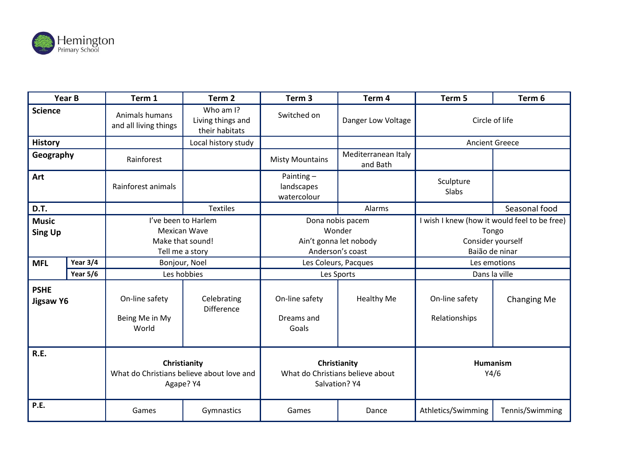

| Year B                          |                 | Term 1                                                                 | Term <sub>2</sub>                                | Term <sub>3</sub>                                                 | Term 4                          | Term 5                                       | Term 6             |
|---------------------------------|-----------------|------------------------------------------------------------------------|--------------------------------------------------|-------------------------------------------------------------------|---------------------------------|----------------------------------------------|--------------------|
| <b>Science</b>                  |                 | Animals humans<br>and all living things                                | Who am I?<br>Living things and<br>their habitats | Switched on                                                       | Danger Low Voltage              | Circle of life                               |                    |
| <b>History</b>                  |                 |                                                                        | Local history study                              |                                                                   |                                 | <b>Ancient Greece</b>                        |                    |
| Geography                       |                 | Rainforest                                                             |                                                  | <b>Misty Mountains</b>                                            | Mediterranean Italy<br>and Bath |                                              |                    |
| Art                             |                 | Rainforest animals                                                     |                                                  | Painting-<br>landscapes<br>watercolour                            |                                 | Sculpture<br>Slabs                           |                    |
| D.T.                            |                 |                                                                        | <b>Textiles</b>                                  |                                                                   | Alarms                          |                                              | Seasonal food      |
| <b>Music</b>                    |                 | I've been to Harlem                                                    |                                                  | Dona nobis pacem                                                  |                                 | I wish I knew (how it would feel to be free) |                    |
| <b>Sing Up</b>                  |                 | <b>Mexican Wave</b>                                                    |                                                  | Wonder                                                            |                                 | Tongo                                        |                    |
|                                 |                 | Make that sound!                                                       |                                                  | Ain't gonna let nobody                                            |                                 | Consider yourself                            |                    |
|                                 |                 | Tell me a story                                                        |                                                  | Anderson's coast                                                  |                                 | Baião de ninar                               |                    |
| Year $3/4$<br><b>MFL</b>        |                 | Bonjour, Noel                                                          |                                                  | Les Coleurs, Pacques                                              |                                 | Les emotions                                 |                    |
|                                 | <b>Year 5/6</b> | Les hobbies                                                            |                                                  | Les Sports                                                        |                                 | Dans la ville                                |                    |
| <b>PSHE</b><br><b>Jigsaw Y6</b> |                 | On-line safety<br>Being Me in My<br>World                              | Celebrating<br>Difference                        | On-line safety<br>Dreams and<br>Goals                             | Healthy Me                      | On-line safety<br>Relationships              | <b>Changing Me</b> |
| R.E.                            |                 | Christianity<br>What do Christians believe about love and<br>Agape? Y4 |                                                  | Christianity<br>What do Christians believe about<br>Salvation? Y4 |                                 | Humanism<br>Y4/6                             |                    |
| P.E.                            |                 | Games                                                                  | Gymnastics                                       | Games                                                             | Dance                           | Athletics/Swimming                           | Tennis/Swimming    |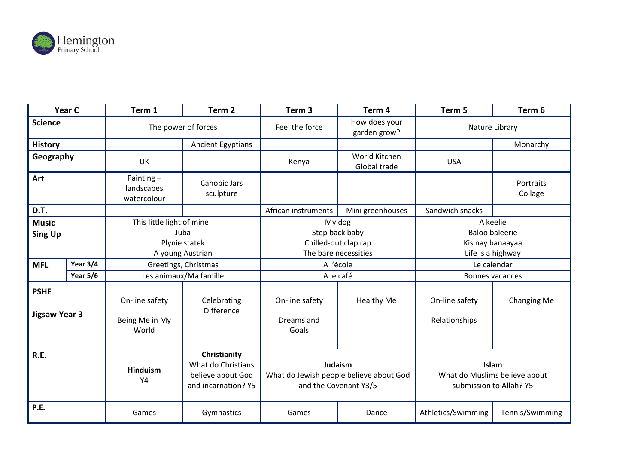

| Year C                                                   |                 | Term 1                                                                                         | Term <sub>2</sub>                                                              | Term <sub>3</sub>                                                                     | Term <sub>4</sub>             | Term 5                                                                                    | Term 6               |
|----------------------------------------------------------|-----------------|------------------------------------------------------------------------------------------------|--------------------------------------------------------------------------------|---------------------------------------------------------------------------------------|-------------------------------|-------------------------------------------------------------------------------------------|----------------------|
| <b>Science</b>                                           |                 | The power of forces                                                                            |                                                                                | Feel the force                                                                        | How does your<br>garden grow? | Nature Library                                                                            |                      |
| <b>History</b>                                           |                 |                                                                                                | <b>Ancient Egyptians</b>                                                       |                                                                                       |                               |                                                                                           | Monarchy             |
| Geography                                                |                 | <b>UK</b>                                                                                      |                                                                                | Kenya                                                                                 | World Kitchen<br>Global trade | <b>USA</b>                                                                                |                      |
| Art                                                      |                 | Painting-<br>landscapes<br>watercolour                                                         | Canopic Jars<br>sculpture                                                      |                                                                                       |                               |                                                                                           | Portraits<br>Collage |
| D.T.                                                     |                 |                                                                                                |                                                                                | African instruments                                                                   | Mini greenhouses              | Sandwich snacks                                                                           |                      |
| <b>Music</b><br><b>Sing Up</b><br>Year 3/4<br><b>MFL</b> |                 | This little light of mine<br>Juba<br>Plynie statek<br>A young Austrian<br>Greetings, Christmas |                                                                                | My dog<br>Step back baby<br>Chilled-out clap rap<br>The bare necessities<br>A l'école |                               | A keelie<br><b>Baloo baleerie</b><br>Kis nay banaayaa<br>Life is a highway<br>Le calendar |                      |
|                                                          | <b>Year 5/6</b> | Les animaux/Ma famille                                                                         |                                                                                | A le café                                                                             |                               | Bonnes vacances                                                                           |                      |
| <b>PSHE</b><br><b>Jigsaw Year 3</b>                      |                 | On-line safety<br>Being Me in My<br>World                                                      | Celebrating<br><b>Difference</b>                                               | On-line safety<br>Dreams and<br>Goals                                                 | <b>Healthy Me</b>             | On-line safety<br>Relationships                                                           | <b>Changing Me</b>   |
| R.E.                                                     |                 | <b>Hinduism</b><br>Y4                                                                          | Christianity<br>What do Christians<br>believe about God<br>and incarnation? Y5 | Judaism<br>What do Jewish people believe about God<br>and the Covenant Y3/5           |                               | Islam<br>What do Muslims believe about<br>submission to Allah? Y5                         |                      |
| P.E.                                                     |                 | Games                                                                                          | Gymnastics                                                                     | Games                                                                                 | Dance                         | Athletics/Swimming                                                                        | Tennis/Swimming      |